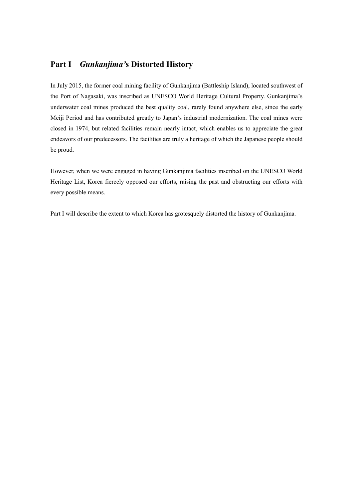# **Part I** *Gunkanjima'***s Distorted History**

In July 2015, the former coal mining facility of Gunkanjima (Battleship Island), located southwest of the Port of Nagasaki, was inscribed as UNESCO World Heritage Cultural Property. Gunkanjima's underwater coal mines produced the best quality coal, rarely found anywhere else, since the early Meiji Period and has contributed greatly to Japan's industrial modernization. The coal mines were closed in 1974, but related facilities remain nearly intact, which enables us to appreciate the great endeavors of our predecessors. The facilities are truly a heritage of which the Japanese people should be proud.

However, when we were engaged in having Gunkanjima facilities inscribed on the UNESCO World Heritage List, Korea fiercely opposed our efforts, raising the past and obstructing our efforts with every possible means.

Part I will describe the extent to which Korea has grotesquely distorted the history of Gunkanjima.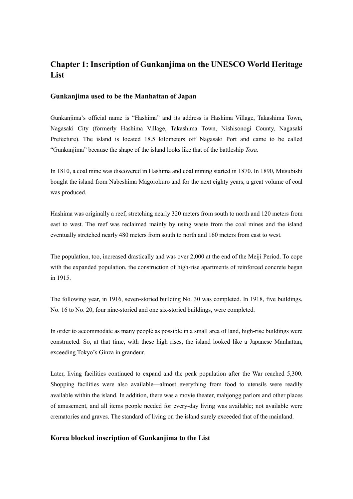## **Chapter 1: Inscription of Gunkanjima on the UNESCO World Heritage List**

#### **Gunkanjima used to be the Manhattan of Japan**

Gunkanjima's official name is "Hashima" and its address is Hashima Village, Takashima Town, Nagasaki City (formerly Hashima Village, Takashima Town, Nishisonogi County, Nagasaki Prefecture). The island is located 18.5 kilometers off Nagasaki Port and came to be called "Gunkanjima" because the shape of the island looks like that of the battleship *Tosa*.

In 1810, a coal mine was discovered in Hashima and coal mining started in 1870. In 1890, Mitsubishi bought the island from Nabeshima Magorokuro and for the next eighty years, a great volume of coal was produced.

Hashima was originally a reef, stretching nearly 320 meters from south to north and 120 meters from east to west. The reef was reclaimed mainly by using waste from the coal mines and the island eventually stretched nearly 480 meters from south to north and 160 meters from east to west.

The population, too, increased drastically and was over 2,000 at the end of the Meiji Period. To cope with the expanded population, the construction of high-rise apartments of reinforced concrete began in 1915.

The following year, in 1916, seven-storied building No. 30 was completed. In 1918, five buildings, No. 16 to No. 20, four nine-storied and one six-storied buildings, were completed.

In order to accommodate as many people as possible in a small area of land, high-rise buildings were constructed. So, at that time, with these high rises, the island looked like a Japanese Manhattan, exceeding Tokyo's Ginza in grandeur.

Later, living facilities continued to expand and the peak population after the War reached 5,300. Shopping facilities were also available—almost everything from food to utensils were readily available within the island. In addition, there was a movie theater, mahjongg parlors and other places of amusement, and all items people needed for every-day living was available; not available were crematories and graves. The standard of living on the island surely exceeded that of the mainland.

#### **Korea blocked inscription of Gunkanjima to the List**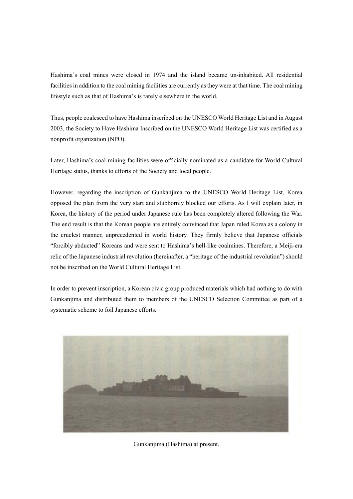Hashima's coal mines were closed in 1974 and the island became un-inhabited. All residential facilities in addition to the coal mining facilities are currently as they were at that time. The coal mining lifestyle such as that of Hashima's is rarely elsewhere in the world.

Thus, people coalesced to have Hashima inscribed on the UNESCO World Heritage List and in August 2003, the Society to Have Hashima Inscribed on the UNESCO World Heritage List was certified as a nonprofit organization (NPO).

Later, Hashima's coal mining facilities were officially nominated as a candidate for World Cultural Heritage status, thanks to efforts of the Society and local people.

However, regarding the inscription of Gunkanjima to the UNESCO World Heritage List, Korea opposed the plan from the very start and stubbornly blocked our efforts. As I will explain later, in Korea, the history of the period under Japanese rule has been completely altered following the War. The end result is that the Korean people are entirely convinced that Japan ruled Korea as a colony in the cruelest manner, unprecedented in world history. They firmly believe that Japanese officials "forcibly abducted" Koreans and were sent to Hashima's hell-like coalmines. Therefore, a Meiji-era relic of the Japanese industrial revolution (hereinafter, a "heritage of the industrial revolution") should not be inscribed on the World Cultural Heritage List.

In order to prevent inscription, a Korean civic group produced materials which had nothing to do with Gunkanjima and distributed them to members of the UNESCO Selection Committee as part of a systematic scheme to foil Japanese efforts.



Gunkanjima (Hashima) at present.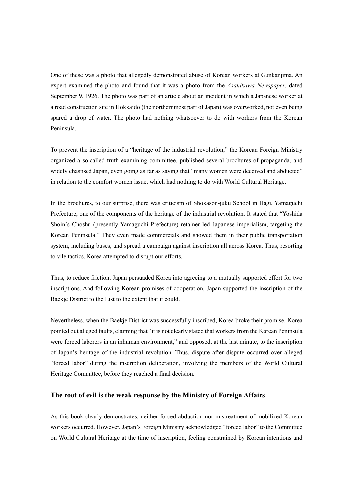One of these was a photo that allegedly demonstrated abuse of Korean workers at Gunkanjima. An expert examined the photo and found that it was a photo from the *Asahikawa Newspaper*, dated September 9, 1926. The photo was part of an article about an incident in which a Japanese worker at a road construction site in Hokkaido (the northernmost part of Japan) was overworked, not even being spared a drop of water. The photo had nothing whatsoever to do with workers from the Korean Peninsula.

To prevent the inscription of a "heritage of the industrial revolution," the Korean Foreign Ministry organized a so-called truth-examining committee, published several brochures of propaganda, and widely chastised Japan, even going as far as saying that "many women were deceived and abducted" in relation to the comfort women issue, which had nothing to do with World Cultural Heritage.

In the brochures, to our surprise, there was criticism of Shokason-juku School in Hagi, Yamaguchi Prefecture, one of the components of the heritage of the industrial revolution. It stated that "Yoshida Shoin's Choshu (presently Yamaguchi Prefecture) retainer led Japanese imperialism, targeting the Korean Peninsula." They even made commercials and showed them in their public transportation system, including buses, and spread a campaign against inscription all across Korea. Thus, resorting to vile tactics, Korea attempted to disrupt our efforts.

Thus, to reduce friction, Japan persuaded Korea into agreeing to a mutually supported effort for two inscriptions. And following Korean promises of cooperation, Japan supported the inscription of the Baekje District to the List to the extent that it could.

Nevertheless, when the Baekje District was successfully inscribed, Korea broke their promise. Korea pointed out alleged faults, claiming that "it is not clearly stated that workers from the Korean Peninsula were forced laborers in an inhuman environment," and opposed, at the last minute, to the inscription of Japan's heritage of the industrial revolution. Thus, dispute after dispute occurred over alleged "forced labor" during the inscription deliberation, involving the members of the World Cultural Heritage Committee, before they reached a final decision.

#### **The root of evil is the weak response by the Ministry of Foreign Affairs**

As this book clearly demonstrates, neither forced abduction nor mistreatment of mobilized Korean workers occurred. However, Japan's Foreign Ministry acknowledged "forced labor" to the Committee on World Cultural Heritage at the time of inscription, feeling constrained by Korean intentions and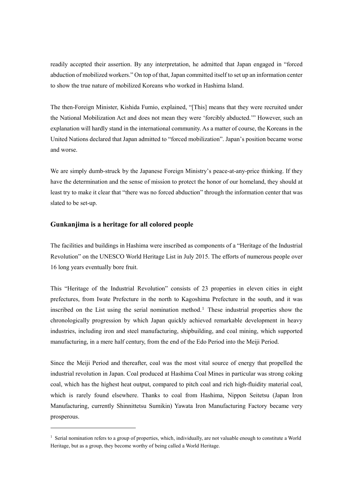readily accepted their assertion. By any interpretation, he admitted that Japan engaged in "forced abduction of mobilized workers." On top of that, Japan committed itself to set up an information center to show the true nature of mobilized Koreans who worked in Hashima Island.

The then-Foreign Minister, Kishida Fumio, explained, "[This] means that they were recruited under the National Mobilization Act and does not mean they were 'forcibly abducted.'" However, such an explanation will hardly stand in the international community. As a matter of course, the Koreans in the United Nations declared that Japan admitted to "forced mobilization". Japan's position became worse and worse.

We are simply dumb-struck by the Japanese Foreign Ministry's peace-at-any-price thinking. If they have the determination and the sense of mission to protect the honor of our homeland, they should at least try to make it clear that "there was no forced abduction" through the information center that was slated to be set-up.

### **Gunkanjima is a heritage for all colored people**

-

The facilities and buildings in Hashima were inscribed as components of a "Heritage of the Industrial Revolution" on the UNESCO World Heritage List in July 2015. The efforts of numerous people over 16 long years eventually bore fruit.

This "Heritage of the Industrial Revolution" consists of 23 properties in eleven cities in eight prefectures, from Iwate Prefecture in the north to Kagoshima Prefecture in the south, and it was inscribed on the List using the serial nomination method.<sup>1</sup> These industrial properties show the chronologically progression by which Japan quickly achieved remarkable development in heavy industries, including iron and steel manufacturing, shipbuilding, and coal mining, which supported manufacturing, in a mere half century, from the end of the Edo Period into the Meiji Period.

Since the Meiji Period and thereafter, coal was the most vital source of energy that propelled the industrial revolution in Japan. Coal produced at Hashima Coal Mines in particular was strong coking coal, which has the highest heat output, compared to pitch coal and rich high-fluidity material coal, which is rarely found elsewhere. Thanks to coal from Hashima, Nippon Seitetsu (Japan Iron Manufacturing, currently Shinnittetsu Sumikin) Yawata Iron Manufacturing Factory became very prosperous.

<sup>&</sup>lt;sup>1</sup> Serial nomination refers to a group of properties, which, individually, are not valuable enough to constitute a World Heritage, but as a group, they become worthy of being called a World Heritage.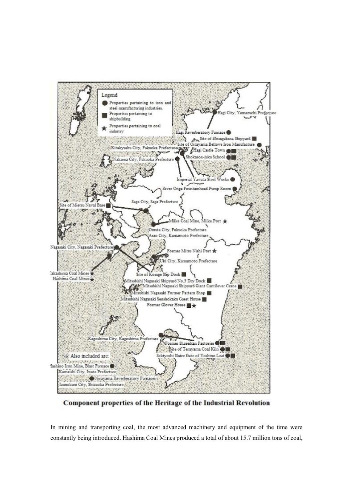

Component properties of the Heritage of the Industrial Revolution

In mining and transporting coal, the most advanced machinery and equipment of the time were constantly being introduced. Hashima Coal Mines produced a total of about 15.7 million tons of coal,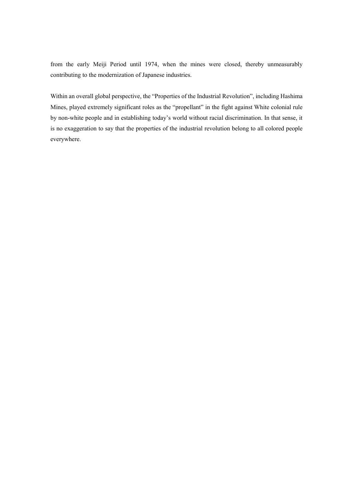from the early Meiji Period until 1974, when the mines were closed, thereby unmeasurably contributing to the modernization of Japanese industries.

Within an overall global perspective, the "Properties of the Industrial Revolution", including Hashima Mines, played extremely significant roles as the "propellant" in the fight against White colonial rule by non-white people and in establishing today's world without racial discrimination. In that sense, it is no exaggeration to say that the properties of the industrial revolution belong to all colored people everywhere.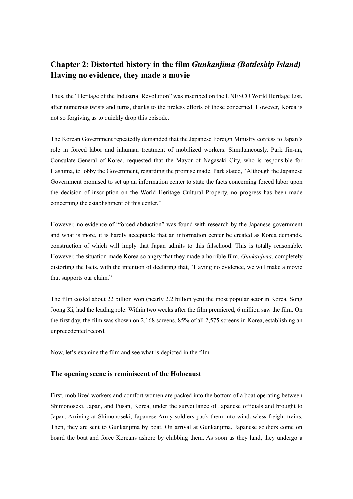# **Chapter 2: Distorted history in the film** *Gunkanjima (Battleship Island)* **Having no evidence, they made a movie**

Thus, the "Heritage of the Industrial Revolution" was inscribed on the UNESCO World Heritage List, after numerous twists and turns, thanks to the tireless efforts of those concerned. However, Korea is not so forgiving as to quickly drop this episode.

The Korean Government repeatedly demanded that the Japanese Foreign Ministry confess to Japan's role in forced labor and inhuman treatment of mobilized workers. Simultaneously, Park Jin-un, Consulate-General of Korea, requested that the Mayor of Nagasaki City, who is responsible for Hashima, to lobby the Government, regarding the promise made. Park stated, "Although the Japanese Government promised to set up an information center to state the facts concerning forced labor upon the decision of inscription on the World Heritage Cultural Property, no progress has been made concerning the establishment of this center."

However, no evidence of "forced abduction" was found with research by the Japanese government and what is more, it is hardly acceptable that an information center be created as Korea demands, construction of which will imply that Japan admits to this falsehood. This is totally reasonable. However, the situation made Korea so angry that they made a horrible film, *Gunkanjima*, completely distorting the facts, with the intention of declaring that, "Having no evidence, we will make a movie that supports our claim."

The film costed about 22 billion won (nearly 2.2 billion yen) the most popular actor in Korea, Song Joong Ki, had the leading role. Within two weeks after the film premiered, 6 million saw the film. On the first day, the film was shown on 2,168 screens, 85% of all 2,575 screens in Korea, establishing an unprecedented record.

Now, let's examine the film and see what is depicted in the film.

#### **The opening scene is reminiscent of the Holocaust**

First, mobilized workers and comfort women are packed into the bottom of a boat operating between Shimonoseki, Japan, and Pusan, Korea, under the surveillance of Japanese officials and brought to Japan. Arriving at Shimonoseki, Japanese Army soldiers pack them into windowless freight trains. Then, they are sent to Gunkanjima by boat. On arrival at Gunkanjima, Japanese soldiers come on board the boat and force Koreans ashore by clubbing them. As soon as they land, they undergo a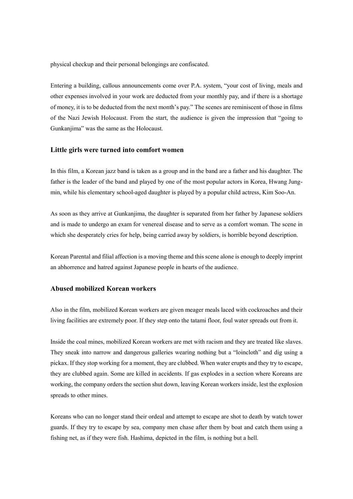physical checkup and their personal belongings are confiscated.

Entering a building, callous announcements come over P.A. system, "your cost of living, meals and other expenses involved in your work are deducted from your monthly pay, and if there is a shortage of money, it is to be deducted from the next month's pay." The scenes are reminiscent of those in films of the Nazi Jewish Holocaust. From the start, the audience is given the impression that "going to Gunkanjima" was the same as the Holocaust.

#### **Little girls were turned into comfort women**

In this film, a Korean jazz band is taken as a group and in the band are a father and his daughter. The father is the leader of the band and played by one of the most popular actors in Korea, Hwang Jungmin, while his elementary school-aged daughter is played by a popular child actress, Kim Soo-An.

As soon as they arrive at Gunkanjima, the daughter is separated from her father by Japanese soldiers and is made to undergo an exam for venereal disease and to serve as a comfort woman. The scene in which she desperately cries for help, being carried away by soldiers, is horrible beyond description.

Korean Parental and filial affection is a moving theme and this scene alone is enough to deeply imprint an abhorrence and hatred against Japanese people in hearts of the audience.

### **Abused mobilized Korean workers**

Also in the film, mobilized Korean workers are given meager meals laced with cockroaches and their living facilities are extremely poor. If they step onto the tatami floor, foul water spreads out from it.

Inside the coal mines, mobilized Korean workers are met with racism and they are treated like slaves. They sneak into narrow and dangerous galleries wearing nothing but a "loincloth" and dig using a pickax. If they stop working for a moment, they are clubbed. When water erupts and they try to escape, they are clubbed again. Some are killed in accidents. If gas explodes in a section where Koreans are working, the company orders the section shut down, leaving Korean workers inside, lest the explosion spreads to other mines.

Koreans who can no longer stand their ordeal and attempt to escape are shot to death by watch tower guards. If they try to escape by sea, company men chase after them by boat and catch them using a fishing net, as if they were fish. Hashima, depicted in the film, is nothing but a hell.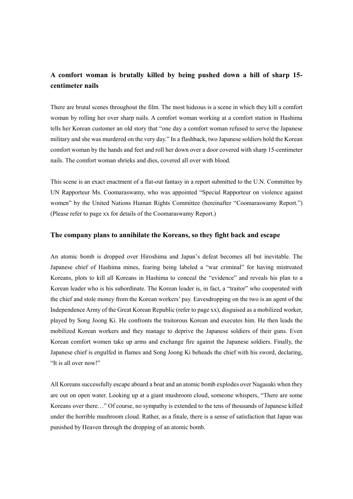## **A comfort woman is brutally killed by being pushed down a hill of sharp 15 centimeter nails**

There are brutal scenes throughout the film. The most hideous is a scene in which they kill a comfort woman by rolling her over sharp nails. A comfort woman working at a comfort station in Hashima tells her Korean customer an old story that "one day a comfort woman refused to serve the Japanese military and she was murdered on the very day." In a flashback, two Japanese soldiers hold the Korean comfort woman by the hands and feet and roll her down over a door covered with sharp 15-centimeter nails. The comfort woman shrieks and dies, covered all over with blood.

This scene is an exact enactment of a flat-out fantasy in a report submitted to the U.N. Committee by UN Rapporteur Ms. Coomaraswamy, who was appointed "Special Rapporteur on violence against women" by the United Nations Human Rights Committee (hereinafter "Coomaraswamy Report.") (Please refer to page xx for details of the Coomaraswamy Report.)

#### **The company plans to annihilate the Koreans, so they fight back and escape**

An atomic bomb is dropped over Hiroshima and Japan's defeat becomes all but inevitable. The Japanese chief of Hashima mines, fearing being labeled a "war criminal" for having mistreated Koreans, plots to kill all Koreans in Hashima to conceal the "evidence" and reveals his plan to a Korean leader who is his subordinate. The Korean leader is, in fact, a "traitor" who cooperated with the chief and stole money from the Korean workers' pay. Eavesdropping on the two is an agent of the Independence Army of the Great Korean Republic (refer to page xx), disguised as a mobilized worker, played by Song Joong Ki. He confronts the traitorous Korean and executes him. He then leads the mobilized Korean workers and they manage to deprive the Japanese soldiers of their guns. Even Korean comfort women take up arms and exchange fire against the Japanese soldiers. Finally, the Japanese chief is engulfed in flames and Song Joong Ki beheads the chief with his sword, declaring, "It is all over now!"

All Koreans successfully escape aboard a boat and an atomic bomb explodes over Nagasaki when they are out on open water. Looking up at a giant mushroom cloud, someone whispers, "There are some Koreans over there…" Of course, no sympathy is extended to the tens of thousands of Japanese killed under the horrible mushroom cloud. Rather, as a finale, there is a sense of satisfaction that Japan was punished by Heaven through the dropping of an atomic bomb.